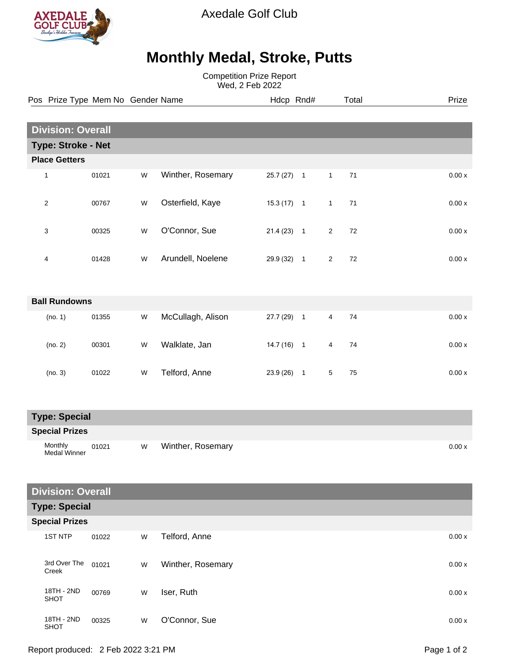

Axedale Golf Club

## **Monthly Medal, Stroke, Putts**

Competition Prize Report Wed, 2 Feb 2022

|                       | Pos Prize Type Mem No Gender Name |       |           |                   |              | Hdcp Rnd# |                | Total | Prize   |
|-----------------------|-----------------------------------|-------|-----------|-------------------|--------------|-----------|----------------|-------|---------|
|                       |                                   |       |           |                   |              |           |                |       |         |
|                       | <b>Division: Overall</b>          |       |           |                   |              |           |                |       |         |
|                       | <b>Type: Stroke - Net</b>         |       |           |                   |              |           |                |       |         |
|                       | <b>Place Getters</b>              |       |           |                   |              |           |                |       |         |
|                       | $\mathbf{1}$                      | 01021 | ${\sf W}$ | Winther, Rosemary | $25.7(27)$ 1 |           | $\mathbf{1}$   | 71    | $0.00x$ |
|                       | $\sqrt{2}$                        | 00767 | W         | Osterfield, Kaye  | $15.3(17)$ 1 |           | $\mathbf{1}$   | 71    | 0.00x   |
|                       | 3                                 | 00325 | W         | O'Connor, Sue     | $21.4(23)$ 1 |           | $\overline{2}$ | 72    | 0.00x   |
|                       | 4                                 | 01428 | W         | Arundell, Noelene | 29.9 (32) 1  |           | $\sqrt{2}$     | 72    | 0.00x   |
|                       | <b>Ball Rundowns</b>              |       |           |                   |              |           |                |       |         |
|                       | (no. 1)                           | 01355 | W         | McCullagh, Alison | 27.7 (29) 1  |           | $\overline{4}$ | 74    | 0.00x   |
|                       | (no. 2)                           | 00301 | W         | Walklate, Jan     | $14.7(16)$ 1 |           | 4              | 74    | 0.00x   |
|                       | (no. 3)                           | 01022 | W         | Telford, Anne     | $23.9(26)$ 1 |           | $\,$ 5 $\,$    | 75    | 0.00x   |
|                       | <b>Type: Special</b>              |       |           |                   |              |           |                |       |         |
| <b>Special Prizes</b> |                                   |       |           |                   |              |           |                |       |         |
|                       | Monthly<br><b>Medal Winner</b>    | 01021 | W         | Winther, Rosemary |              |           |                |       | 0.00x   |
|                       | <b>Division: Overall</b>          |       |           |                   |              |           |                |       |         |
|                       |                                   |       |           |                   |              |           |                |       |         |

**Type: Special**

| <b>Special Prizes</b> |                           |       |   |                   |        |  |
|-----------------------|---------------------------|-------|---|-------------------|--------|--|
|                       | 1ST NTP                   | 01022 | W | Telford, Anne     | 0.00x  |  |
|                       | 3rd Over The<br>Creek     | 01021 | W | Winther, Rosemary | 0.00 x |  |
|                       | 18TH - 2ND<br><b>SHOT</b> | 00769 | W | Iser, Ruth        | 0.00x  |  |
|                       | 18TH - 2ND<br><b>SHOT</b> | 00325 | W | O'Connor, Sue     | 0.00 x |  |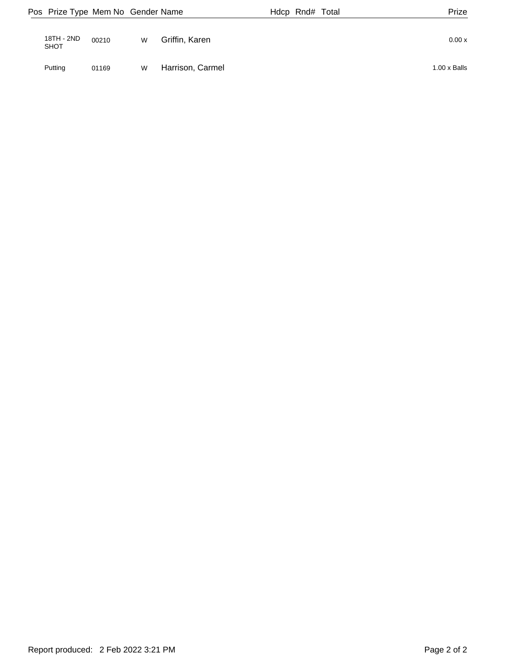|                    | Pos Prize Type Mem No Gender Name |   |                  | Hdcp Rnd# Total | Prize               |
|--------------------|-----------------------------------|---|------------------|-----------------|---------------------|
| 18TH - 2ND<br>SHOT | 00210                             | W | Griffin, Karen   |                 | 0.00 x              |
| Putting            | 01169                             | W | Harrison, Carmel |                 | $1.00 \times$ Balls |